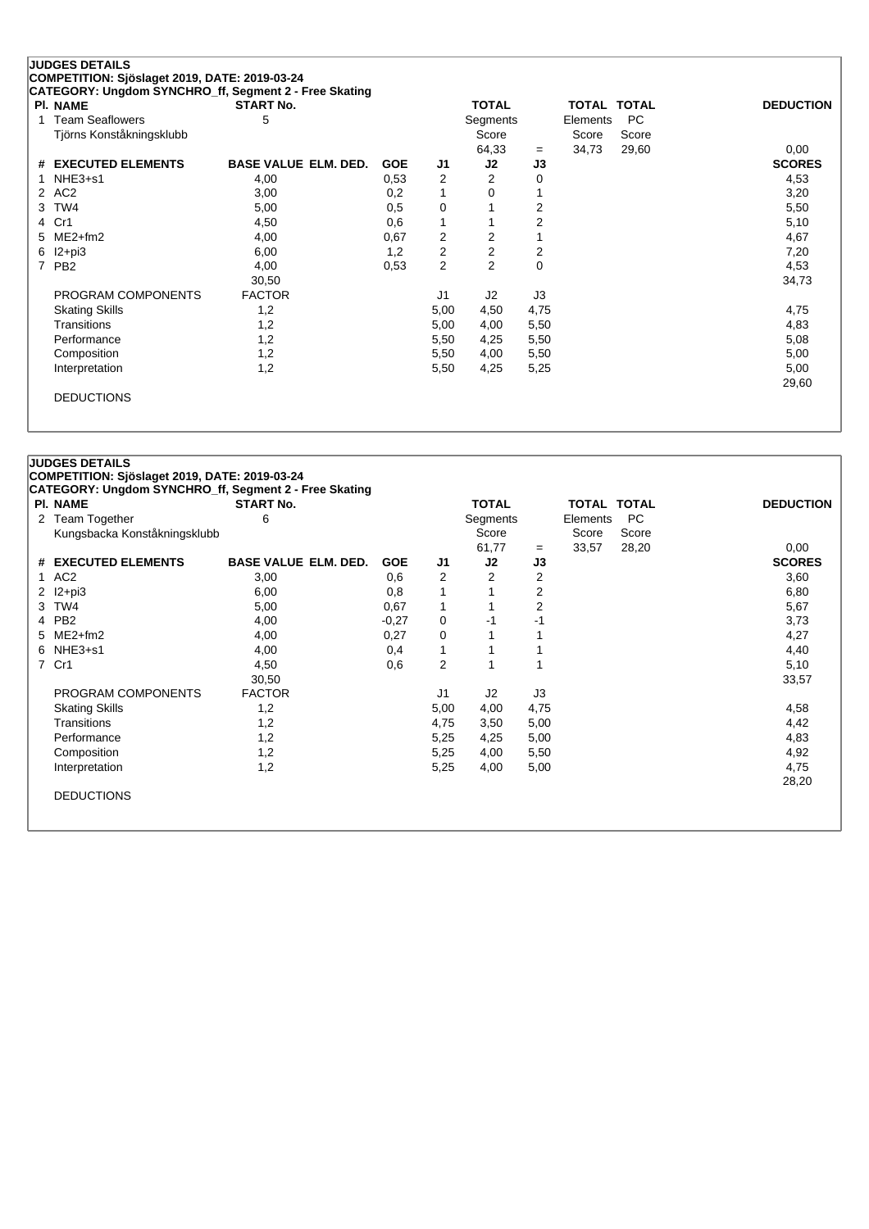## **JUDGES DETAILS COMPETITION: Sjöslaget 2019, DATE: 2019-03-24**

| <b>PI. NAME</b>          | <b>START No.</b>            |            |      | <b>TOTAL</b>   |             | TOTAL TOTAL |       | <b>DEDUCTION</b> |
|--------------------------|-----------------------------|------------|------|----------------|-------------|-------------|-------|------------------|
| <b>Team Seaflowers</b>   | 5                           |            |      | Segments       |             | Elements    | PC.   |                  |
| Tjörns Konståkningsklubb |                             |            |      | Score          |             | Score       | Score |                  |
|                          |                             |            |      | 64,33          | $=$         | 34,73       | 29,60 | 0,00             |
| # EXECUTED ELEMENTS      | <b>BASE VALUE ELM. DED.</b> | <b>GOE</b> | J1   | J2             | J3          |             |       | <b>SCORES</b>    |
| 1 NHE3+s1                | 4,00                        | 0,53       | 2    | 2              | 0           |             |       | 4,53             |
| 2 AC2                    | 3,00                        | 0,2        | 1    | 0              |             |             |       | 3,20             |
| 3 TW4                    | 5,00                        | 0,5        | 0    |                | 2           |             |       | 5,50             |
| 4 Cr1                    | 4,50                        | 0,6        | 1    |                | 2           |             |       | 5,10             |
| 5 ME2+fm2                | 4,00                        | 0,67       | 2    | $\overline{2}$ |             |             |       | 4,67             |
| $6$ $12 + pi3$           | 6,00                        | 1,2        | 2    | 2              | 2           |             |       | 7,20             |
| 7 PB2                    | 4,00                        | 0.53       | 2    | $\overline{2}$ | $\mathbf 0$ |             |       | 4,53             |
|                          | 30,50                       |            |      |                |             |             |       | 34,73            |
| PROGRAM COMPONENTS       | <b>FACTOR</b>               |            | J1   | J2             | J3          |             |       |                  |
| <b>Skating Skills</b>    | 1,2                         |            | 5,00 | 4,50           | 4,75        |             |       | 4,75             |
| Transitions              | 1,2                         |            | 5,00 | 4,00           | 5,50        |             |       | 4,83             |
| Performance              | 1,2                         |            | 5,50 | 4,25           | 5,50        |             |       | 5,08             |
| Composition              | 1,2                         |            | 5,50 | 4,00           | 5,50        |             |       | 5,00             |
| Interpretation           | 1,2                         |            | 5,50 | 4,25           | 5,25        |             |       | 5,00             |
|                          |                             |            |      |                |             |             |       | 29,60            |
| <b>DEDUCTIONS</b>        |                             |            |      |                |             |             |       |                  |

| PI. NAME                     | <b>START No.</b>            |            |                | <b>TOTAL</b>   |                | <b>TOTAL TOTAL</b> |       | <b>DEDUCTION</b> |
|------------------------------|-----------------------------|------------|----------------|----------------|----------------|--------------------|-------|------------------|
| 2 Team Together              | 6                           |            |                | Segments       |                | Elements           | PC    |                  |
| Kungsbacka Konståkningsklubb |                             |            |                | Score          |                | Score              | Score |                  |
|                              |                             |            |                | 61,77          | $=$            | 33,57              | 28,20 | 0,00             |
| # EXECUTED ELEMENTS          | <b>BASE VALUE ELM. DED.</b> | <b>GOE</b> | J1             | J2             | J3             |                    |       | <b>SCORES</b>    |
| AC <sub>2</sub><br>1         | 3,00                        | 0,6        | $\overline{2}$ | 2              | $\overline{2}$ |                    |       | 3,60             |
| $12+pi3$<br>2                | 6,00                        | 0,8        | 1              |                | $\overline{2}$ |                    |       | 6,80             |
| TW4<br>3                     | 5,00                        | 0,67       | $\mathbf{1}$   |                | 2              |                    |       | 5,67             |
| PB <sub>2</sub><br>4         | 4,00                        | $-0,27$    | 0              | $-1$           | $-1$           |                    |       | 3,73             |
| $ME2+fm2$<br>5.              | 4,00                        | 0,27       | 0              |                |                |                    |       | 4,27             |
| $6$ NHE3+s1                  | 4,00                        | 0,4        | $\mathbf{1}$   |                |                |                    |       | 4,40             |
| 7 Cr1                        | 4,50                        | 0,6        | $\overline{c}$ |                |                |                    |       | 5,10             |
|                              | 30,50                       |            |                |                |                |                    |       | 33,57            |
| PROGRAM COMPONENTS           | <b>FACTOR</b>               |            | J <sub>1</sub> | J <sub>2</sub> | J3             |                    |       |                  |
| <b>Skating Skills</b>        | 1,2                         |            | 5,00           | 4,00           | 4,75           |                    |       | 4,58             |
| <b>Transitions</b>           | 1,2                         |            | 4,75           | 3,50           | 5,00           |                    |       | 4,42             |
| Performance                  | 1,2                         |            | 5,25           | 4,25           | 5,00           |                    |       | 4,83             |
| Composition                  | 1,2                         |            | 5,25           | 4,00           | 5,50           |                    |       | 4,92             |
| Interpretation               | 1,2                         |            | 5,25           | 4,00           | 5,00           |                    |       | 4,75             |
|                              |                             |            |                |                |                |                    |       | 28,20            |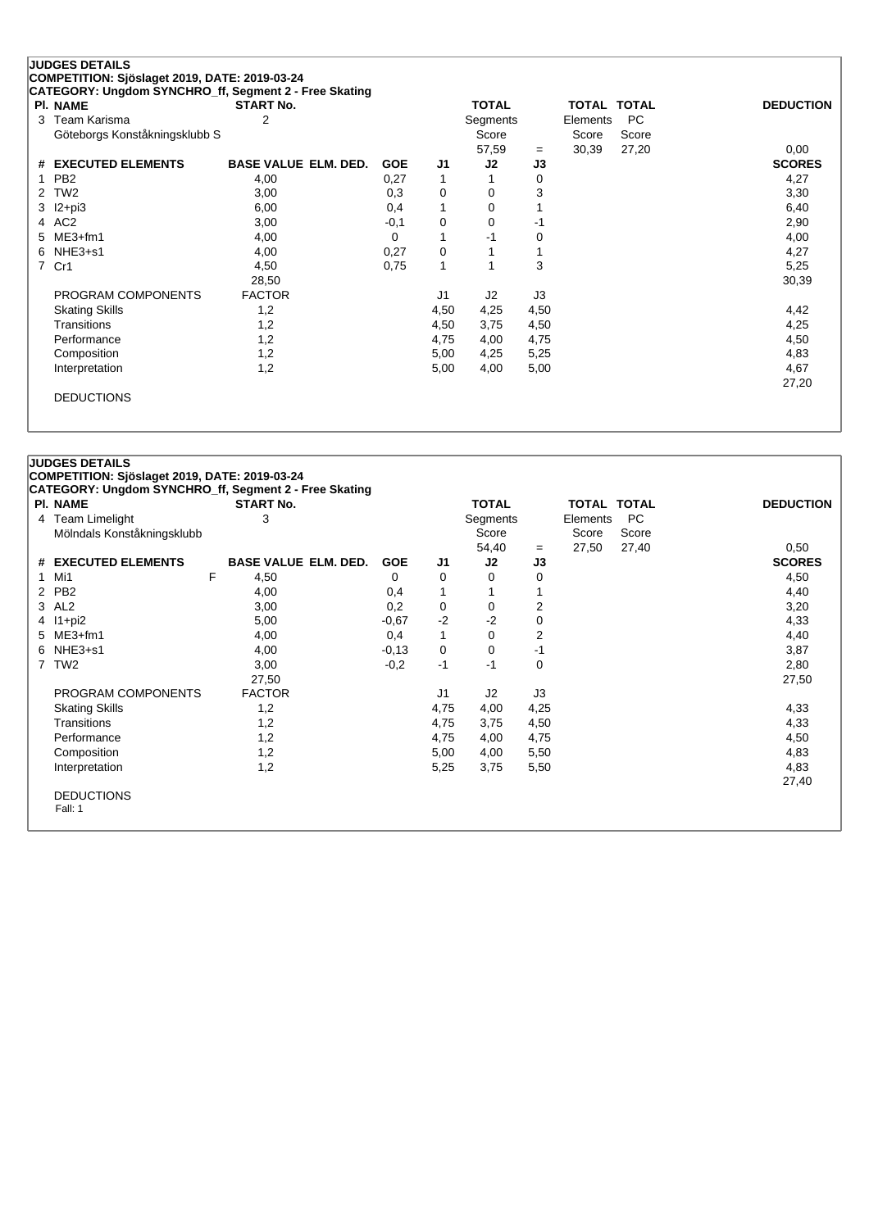## **JUDGES DETAILS COMPETITION: Sjöslaget 2019, DATE: 2019-03-24**

**CATEGORY: Ungdom SYNCHRO\_ff, Segment 2 - Free Skating**

| <b>PI. NAME</b>               | <b>START No.</b>            |            |                | <b>TOTAL</b> |      | <b>TOTAL TOTAL</b> |       | <b>DEDUCTION</b> |
|-------------------------------|-----------------------------|------------|----------------|--------------|------|--------------------|-------|------------------|
| 3 Team Karisma                | 2                           |            |                | Segments     |      | Elements           | PC    |                  |
| Göteborgs Konståkningsklubb S |                             |            |                | Score        |      | Score              | Score |                  |
|                               |                             |            |                | 57,59        | $=$  | 30,39              | 27,20 | 0,00             |
| # EXECUTED ELEMENTS           | <b>BASE VALUE ELM. DED.</b> | <b>GOE</b> | J1             | J2           | J3   |                    |       | <b>SCORES</b>    |
| 1 PB2                         | 4,00                        | 0,27       |                |              | 0    |                    |       | 4,27             |
| 2 TW2                         | 3,00                        | 0,3        | 0              | 0            | 3    |                    |       | 3,30             |
| 3 I2+pi3                      | 6,00                        | 0,4        | 1              | $\mathbf 0$  |      |                    |       | 6,40             |
| 4 AC2                         | 3,00                        | $-0,1$     | 0              | $\mathbf 0$  | -1   |                    |       | 2,90             |
| 5 ME3+fm1                     | 4,00                        | 0          |                | $-1$         | 0    |                    |       | 4,00             |
| 6 NHE3+s1                     | 4,00                        | 0,27       | 0              | 1            |      |                    |       | 4,27             |
| 7 Cr1                         | 4,50                        | 0,75       | 1              | 1            | 3    |                    |       | 5,25             |
|                               | 28,50                       |            |                |              |      |                    |       | 30,39            |
| PROGRAM COMPONENTS            | <b>FACTOR</b>               |            | J <sub>1</sub> | J2           | J3   |                    |       |                  |
| <b>Skating Skills</b>         | 1,2                         |            | 4,50           | 4,25         | 4,50 |                    |       | 4,42             |
| <b>Transitions</b>            | 1,2                         |            | 4,50           | 3,75         | 4,50 |                    |       | 4,25             |
| Performance                   | 1,2                         |            | 4,75           | 4,00         | 4,75 |                    |       | 4,50             |
| Composition                   | 1,2                         |            | 5,00           | 4,25         | 5,25 |                    |       | 4,83             |
| Interpretation                | 1,2                         |            | 5,00           | 4,00         | 5,00 |                    |       | 4,67             |
|                               |                             |            |                |              |      |                    |       | 27,20            |
| <b>DEDUCTIONS</b>             |                             |            |                |              |      |                    |       |                  |

|   | <b>PI. NAME</b>            | <b>START No.</b>            |            |                | <b>TOTAL</b> |      | <b>TOTAL TOTAL</b> |           | <b>DEDUCTION</b> |
|---|----------------------------|-----------------------------|------------|----------------|--------------|------|--------------------|-----------|------------------|
|   | 4 Team Limelight           | 3                           |            |                | Segments     |      | Elements           | <b>PC</b> |                  |
|   | Mölndals Konståkningsklubb |                             |            |                | Score        |      | Score              | Score     |                  |
|   |                            |                             |            |                | 54,40        | $=$  | 27,50              | 27,40     | 0,50             |
|   | # EXECUTED ELEMENTS        | <b>BASE VALUE ELM. DED.</b> | <b>GOE</b> | J1             | J2           | J3   |                    |           | <b>SCORES</b>    |
| 1 | Mi1                        | F<br>4,50                   | 0          | 0              | $\Omega$     | 0    |                    |           | 4,50             |
|   | 2 PB2                      | 4,00                        | 0,4        | 1              |              |      |                    |           | 4,40             |
|   | 3 AL2                      | 3,00                        | 0,2        | 0              | 0            | 2    |                    |           | 3,20             |
|   | 4 l1+pi2                   | 5,00                        | $-0.67$    | $-2$           | $-2$         | 0    |                    |           | 4,33             |
|   | 5 ME3+fm1                  | 4,00                        | 0,4        | $\mathbf{1}$   | 0            | 2    |                    |           | 4,40             |
|   | $6$ NHE3+s1                | 4,00                        | $-0,13$    | 0              | 0            | $-1$ |                    |           | 3,87             |
|   | 7 TW2                      | 3,00                        | $-0,2$     | $-1$           | $-1$         | 0    |                    |           | 2,80             |
|   |                            | 27,50                       |            |                |              |      |                    |           | 27,50            |
|   | PROGRAM COMPONENTS         | <b>FACTOR</b>               |            | J <sub>1</sub> | J2           | J3   |                    |           |                  |
|   | <b>Skating Skills</b>      | 1,2                         |            | 4,75           | 4,00         | 4,25 |                    |           | 4,33             |
|   | Transitions                | 1,2                         |            | 4,75           | 3,75         | 4,50 |                    |           | 4,33             |
|   | Performance                | 1,2                         |            | 4,75           | 4,00         | 4,75 |                    |           | 4,50             |
|   | Composition                | 1,2                         |            | 5,00           | 4,00         | 5,50 |                    |           | 4,83             |
|   | Interpretation             | 1,2                         |            | 5,25           | 3,75         | 5,50 |                    |           | 4,83             |
|   |                            |                             |            |                |              |      |                    |           | 27,40            |